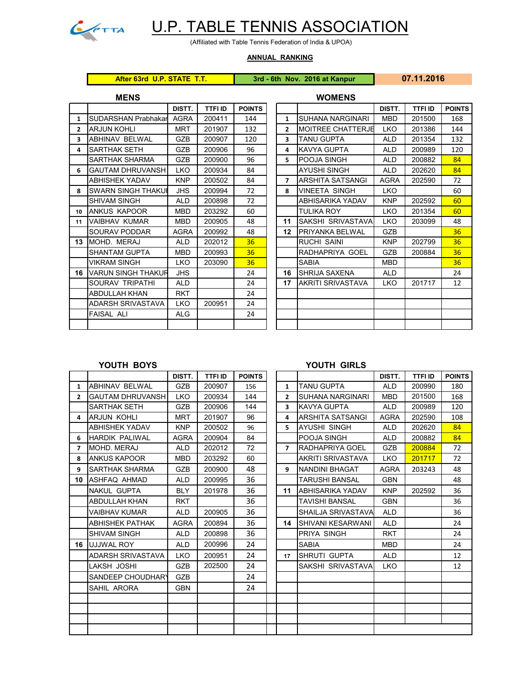

## U.P. TABLE TENNIS ASSOCIATION

(Affiliated with Table Tennis Federation of India & UPOA)

## **ANNUAL RANKING**

**After 63rd U.P. STATE T.T. 3rd - 6th Nov. 2016 at Kanpur 07.11.2016**

|                | <b>MENS</b>               |             |         |               |                          | <b>WOMENS</b>          |
|----------------|---------------------------|-------------|---------|---------------|--------------------------|------------------------|
|                |                           | DISTT.      | TTFI ID | <b>POINTS</b> |                          |                        |
| $\mathbf{1}$   | SUDARSHAN Prabhakar       | <b>AGRA</b> | 200411  | 144           | 1                        | <b>SUHANA NARGIN</b>   |
| $\overline{2}$ | <b>ARJUN KOHLI</b>        | <b>MRT</b>  | 201907  | 132           | $\overline{2}$           | <b>MOITREE CHATT</b>   |
| 3              | ABHINAV BELWAL            | GZB         | 200907  | 120           | 3                        | <b>TANU GUPTA</b>      |
| 4              | <b>SARTHAK SETH</b>       | <b>GZB</b>  | 200906  | 96            | 4                        | KAVYA GUPTA            |
|                | <b>SARTHAK SHARMA</b>     | GZB         | 200900  | 96            | 5.                       | POOJA SINGH            |
| 6              | <b>GAUTAM DHRUVANSH</b>   | <b>LKO</b>  | 200934  | 84            |                          | <b>AYUSHI SINGH</b>    |
|                | <b>ABHISHEK YADAV</b>     | <b>KNP</b>  | 200502  | 84            | $\overline{\phantom{a}}$ | ARSHITA SATSAI         |
| 8              | <b>SWARN SINGH THAKUI</b> | <b>JHS</b>  | 200994  | 72            | 8                        | <b>VINEETA SINGH</b>   |
|                | <b>SHIVAM SINGH</b>       | <b>ALD</b>  | 200898  | 72            |                          | ABHISARIKA YAD         |
| 10             | ANKUS KAPOOR              | MBD         | 203292  | 60            |                          | <b>TULIKA ROY</b>      |
| 11             | <b>VAIBHAV KUMAR</b>      | <b>MBD</b>  | 200905  | 48            | 11                       | SAKSHI SRIVAST         |
|                | SOURAV PODDAR             | <b>AGRA</b> | 200992  | 48            | 12                       | <b>PRIYANKA BELW</b>   |
| 13             | MOHD. MERAJ               | <b>ALD</b>  | 202012  | 36            |                          | <b>RUCHI SAINI</b>     |
|                | <b>SHANTAM GUPTA</b>      | <b>MBD</b>  | 200993  | 36            |                          | RADHAPRIYA GO          |
|                | <b>VIKRAM SINGH</b>       | <b>LKO</b>  | 203090  | 36            |                          | <b>SABIA</b>           |
| 16             | <b>VARUN SINGH THAKUR</b> | <b>JHS</b>  |         | 24            | 16                       | SHRIJA SAXENA          |
|                | SOURAV TRIPATHI           | <b>ALD</b>  |         | 24            | 17                       | <b>AKRITI SRIVASTA</b> |
|                | <b>ABDULLAH KHAN</b>      | <b>RKT</b>  |         | 24            |                          |                        |
|                | ADARSH SRIVASTAVA         | <b>LKO</b>  | 200951  | 24            |                          |                        |
|                | <b>FAISAL ALI</b>         | <b>ALG</b>  |         | 24            |                          |                        |
|                |                           |             |         |               |                          |                        |

| MENƏ           |                           |             |         |               | <b>VVUIVIEIVS</b> |                          |             |         |               |  |  |  |
|----------------|---------------------------|-------------|---------|---------------|-------------------|--------------------------|-------------|---------|---------------|--|--|--|
|                |                           | DISTT.      | TTFI ID | <b>POINTS</b> |                   |                          | DISTT.      | TTFI ID | <b>POINTS</b> |  |  |  |
| $\mathbf{1}$   | SUDARSHAN Prabhakar       | <b>AGRA</b> | 200411  | 144           | $\mathbf{1}$      | <b>SUHANA NARGINARI</b>  | <b>MBD</b>  | 201500  | 168           |  |  |  |
| $\overline{2}$ | <b>ARJUN KOHLI</b>        | <b>MRT</b>  | 201907  | 132           | $\overline{2}$    | <b>MOITREE CHATTERJE</b> | <b>LKO</b>  | 201386  | 144           |  |  |  |
| 3              | <b>ABHINAV BELWAL</b>     | GZB         | 200907  | 120           | 3                 | <b>TANU GUPTA</b>        | <b>ALD</b>  | 201354  | 132           |  |  |  |
| 4              | <b>SARTHAK SETH</b>       | GZB         | 200906  | 96            | 4                 | KAVYA GUPTA              | <b>ALD</b>  | 200989  | 120           |  |  |  |
|                | <b>SARTHAK SHARMA</b>     | <b>GZB</b>  | 200900  | 96            | 5.                | <b>POOJA SINGH</b>       | <b>ALD</b>  | 200882  | 84            |  |  |  |
| 6              | <b>GAUTAM DHRUVANSH</b>   | <b>LKO</b>  | 200934  | 84            |                   | <b>AYUSHI SINGH</b>      | <b>ALD</b>  | 202620  | 84            |  |  |  |
|                | <b>ABHISHEK YADAV</b>     | <b>KNP</b>  | 200502  | 84            | $\overline{ }$    | ARSHITA SATSANGI         | <b>AGRA</b> | 202590  | 72            |  |  |  |
| 8              | <b>SWARN SINGH THAKUI</b> | <b>JHS</b>  | 200994  | 72            | 8                 | <b>VINEETA SINGH</b>     | <b>LKO</b>  |         | 60            |  |  |  |
|                | <b>SHIVAM SINGH</b>       | <b>ALD</b>  | 200898  | 72            |                   | <b>ABHISARIKA YADAV</b>  | <b>KNP</b>  | 202592  | 60            |  |  |  |
| 10             | <b>ANKUS KAPOOR</b>       | <b>MBD</b>  | 203292  | 60            |                   | <b>TULIKA ROY</b>        | LKO         | 201354  | 60            |  |  |  |
| 11             | <b>VAIBHAV KUMAR</b>      | <b>MBD</b>  | 200905  | 48            | 11                | SAKSHI SRIVASTAVA        | <b>LKO</b>  | 203099  | 48            |  |  |  |
|                | <b>SOURAV PODDAR</b>      | <b>AGRA</b> | 200992  | 48            | 12                | PRIYANKA BELWAL          | GZB         |         | 36            |  |  |  |
| 13             | MOHD. MERAJ               | <b>ALD</b>  | 202012  | 36            |                   | <b>RUCHI SAINI</b>       | <b>KNP</b>  | 202799  | 36            |  |  |  |
|                | <b>SHANTAM GUPTA</b>      | <b>MBD</b>  | 200993  | 36            |                   | RADHAPRIYA GOEL          | <b>GZB</b>  | 200884  | 36            |  |  |  |
|                | <b>VIKRAM SINGH</b>       | LKO         | 203090  | 36            |                   | <b>SABIA</b>             | <b>MBD</b>  |         | 36            |  |  |  |
| 16             | <b>VARUN SINGH THAKUR</b> | <b>JHS</b>  |         | 24            | 16                | <b>SHRIJA SAXENA</b>     | <b>ALD</b>  |         | 24            |  |  |  |
|                | <b>SOURAV TRIPATHI</b>    | <b>ALD</b>  |         | 24            | 17                | <b>AKRITI SRIVASTAVA</b> | <b>LKO</b>  | 201717  | 12            |  |  |  |
|                | <b>ABDULLAH KHAN</b>      | <b>RKT</b>  |         | 24            |                   |                          |             |         |               |  |  |  |
|                | ADARSH SRIVASTAVA         | <b>LKO</b>  | 200951  | 24            |                   |                          |             |         |               |  |  |  |
|                | <b>FAISAL ALI</b>         | <b>ALG</b>  |         | 24            |                   |                          |             |         |               |  |  |  |
|                |                           |             |         |               |                   |                          |             |         |               |  |  |  |

## **YOUTH BOYS YOUTH GIRLS**

|                | טוטט וווטטו              |             |                |               |                | טשווט ווויטטו           |             |                |               |
|----------------|--------------------------|-------------|----------------|---------------|----------------|-------------------------|-------------|----------------|---------------|
|                |                          | DISTT.      | <b>TTFI ID</b> | <b>POINTS</b> |                |                         | DISTT.      | <b>TTFI ID</b> | <b>POINTS</b> |
| $\mathbf{1}$   | <b>ABHINAV BELWAL</b>    | <b>GZB</b>  | 200907         | 156           | $\mathbf{1}$   | <b>TANU GUPTA</b>       | <b>ALD</b>  | 200990         | 180           |
| $\overline{2}$ | <b>GAUTAM DHRUVANSH</b>  | <b>LKO</b>  | 200934         | 144           | $\overline{2}$ | <b>SUHANA NARGINARI</b> | <b>MBD</b>  | 201500         | 168           |
|                | SARTHAK SETH             | <b>GZB</b>  | 200906         | 144           | 3              | <b>KAVYA GUPTA</b>      | <b>ALD</b>  | 200989         | 120           |
| 4              | <b>ARJUN KOHLI</b>       | <b>MRT</b>  | 201907         | 96            | 4              | <b>ARSHITA SATSANGI</b> | <b>AGRA</b> | 202590         | 108           |
|                | <b>ABHISHEK YADAV</b>    | <b>KNP</b>  | 200502         | 96            | 5              | <b>AYUSHI SINGH</b>     | <b>ALD</b>  | 202620         | 84            |
| 6              | <b>HARDIK PALIWAL</b>    | <b>AGRA</b> | 200904         | 84            |                | POOJA SINGH             | <b>ALD</b>  | 200882         | 84            |
| $\overline{7}$ | MOHD. MERAJ              | <b>ALD</b>  | 202012         | 72            | $\overline{7}$ | RADHAPRIYA GOEL         | <b>GZB</b>  | 200884         | 72            |
| 8              | <b>ANKUS KAPOOR</b>      | <b>MBD</b>  | 203292         | 60            |                | AKRITI SRIVASTAVA       | <b>LKO</b>  | 201717         | 72            |
| 9              | SARTHAK SHARMA           | GZB         | 200900         | 48            | 9              | <b>NANDINI BHAGAT</b>   | <b>AGRA</b> | 203243         | 48            |
|                | 10 ASHFAQ AHMAD          | <b>ALD</b>  | 200995         | 36            |                | TARUSHI BANSAL          | <b>GBN</b>  |                | 48            |
|                | <b>NAKUL GUPTA</b>       | <b>BLY</b>  | 201978         | 36            | 11             | <b>ABHISARIKA YADAV</b> | <b>KNP</b>  | 202592         | 36            |
|                | ABDULLAH KHAN            | <b>RKT</b>  |                | 36            |                | TAVISHI BANSAL          | <b>GBN</b>  |                | 36            |
|                | VAIBHAV KUMAR            | <b>ALD</b>  | 200905         | 36            |                | SHAILJA SRIVASTAVA      | <b>ALD</b>  |                | 36            |
|                | ABHISHEK PATHAK          | AGRA        | 200894         | 36            | 14             | SHIVANI KESARWANI       | <b>ALD</b>  |                | 24            |
|                | <b>SHIVAM SINGH</b>      | <b>ALD</b>  | 200898         | 36            |                | PRIYA SINGH             | <b>RKT</b>  |                | 24            |
|                | <b>16 JUJJWAL ROY</b>    | <b>ALD</b>  | 200996         | 24            |                | <b>SABIA</b>            | <b>MBD</b>  |                | 24            |
|                | <b>ADARSH SRIVASTAVA</b> | <b>LKO</b>  | 200951         | 24            | 17             | <b>ISHRUTI GUPTA</b>    | <b>ALD</b>  |                | 12            |
|                | LAKSH JOSHI              | GZB         | 202500         | 24            |                | SAKSHI SRIVASTAVA       | <b>LKO</b>  |                | 12            |
|                | SANDEEP CHOUDHARY        | <b>GZB</b>  |                | 24            |                |                         |             |                |               |
|                | SAHIL ARORA              | <b>GBN</b>  |                | 24            |                |                         |             |                |               |
|                |                          |             |                |               |                |                         |             |                |               |
|                |                          |             |                |               |                |                         |             |                |               |
|                |                          |             |                |               |                |                         |             |                |               |
|                |                          |             |                |               |                |                         |             |                |               |